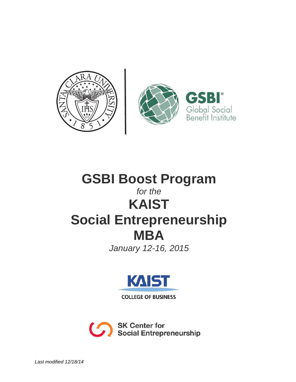

# **GSBI Boost Program** *for the* **KAIST Social Entrepreneurship MBA**

*January 12-16, 2015*



**COLLEGE OF BUSINESS** 

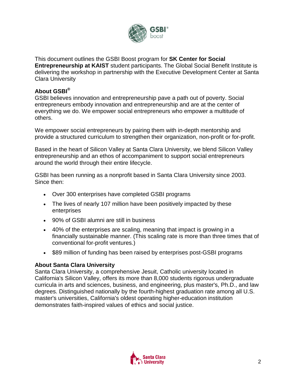

This document outlines the GSBI Boost program for **SK Center for Social Entrepreneurship at KAIST** student participants. The Global Social Benefit Institute is delivering the workshop in partnership with the Executive Development Center at Santa Clara University

### **About GSBI®**

GSBI believes innovation and entrepreneurship pave a path out of poverty. Social entrepreneurs embody innovation and entrepreneurship and are at the center of everything we do. We empower social entrepreneurs who empower a multitude of others.

We empower social entrepreneurs by pairing them with in-depth mentorship and provide a structured curriculum to strengthen their organization, non-profit or for-profit.

Based in the heart of Silicon Valley at Santa Clara University, we blend Silicon Valley entrepreneurship and an ethos of accompaniment to support social entrepreneurs around the world through their entire lifecycle.

GSBI has been running as a nonprofit based in Santa Clara University since 2003. Since then:

- Over 300 enterprises have completed GSBI programs
- The lives of nearly 107 million have been positively impacted by these enterprises
- 90% of GSBI alumni are still in business
- 40% of the enterprises are scaling, meaning that impact is growing in a financially sustainable manner. (This scaling rate is more than three times that of conventional for-profit ventures.)
- \$89 million of funding has been raised by enterprises post-GSBI programs

### **About Santa Clara University**

Santa Clara University, a comprehensive Jesuit, Catholic university located in California's Silicon Valley, offers its more than 8,000 students rigorous undergraduate curricula in arts and sciences, business, and engineering, plus master's, Ph.D., and law degrees. Distinguished nationally by the fourth-highest graduation rate among all U.S. master's universities, California's oldest operating higher-education institution demonstrates faith-inspired values of ethics and social justice.

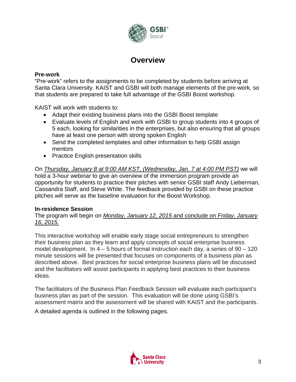

### **Overview**

#### **Pre-work**

"Pre-work" refers to the assignments to be completed by students before arriving at Santa Clara University. KAIST and GSBI will both manage elements of the pre-work, so that students are prepared to take full advantage of the GSBI Boost workshop.

KAIST will work with students to:

- Adapt their existing business plans into the GSBI Boost template
- Evaluate levels of English and work with GSBI to group students into 4 groups of 5 each, looking for similarities in the enterprises, but also ensuring that all groups have at least one person with strong spoken English
- Send the completed templates and other information to help GSBI assign mentors
- Practice English presentation skills

On *Thursday, January 8 at 9:00 AM KST, (Wednesday, Jan. 7 at 4:00 PM PST)* we will hold a 3-hour webinar to give an overview of the immersion program provide an opportunity for students to practice their pitches with senior GSBI staff Andy Lieberman, Cassandra Staff, and Steve White. The feedback provided by GSBI on these practice pitches will serve as the baseline evaluation for the Boost Workshop.

### **In-residence Session**

The program will begin on *Monday, January 12, 2015* and conclude on *Friday, January 16, 2015.*

This interactive workshop will enable early stage social entrepreneurs to strengthen their business plan as they learn and apply concepts of social enterprise business model development. In  $4 - 5$  hours of formal instruction each day, a series of  $90 - 120$ minute sessions will be presented that focuses on components of a business plan as described above. Best practices for social enterprise business plans will be discussed and the facilitators will assist participants in applying best practices to their business ideas.

The facilitators of the Business Plan Feedback Session will evaluate each participant's business plan as part of the session. This evaluation will be done using GSBI's assessment matrix and the assessment will be shared with KAIST and the participants.

A detailed agenda is outlined in the following pages.

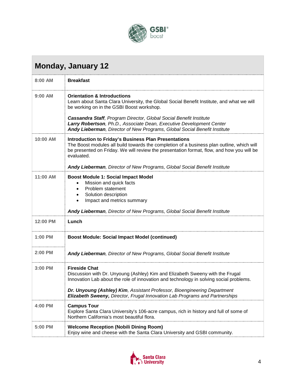

## **Monday, January 12**

| 8:00 AM   | <b>Breakfast</b>                                                                                                                                                                                                                                                            |
|-----------|-----------------------------------------------------------------------------------------------------------------------------------------------------------------------------------------------------------------------------------------------------------------------------|
| $9:00$ AM | <b>Orientation &amp; Introductions</b><br>Learn about Santa Clara University, the Global Social Benefit Institute, and what we will<br>be working on in the GSBI Boost workshop.                                                                                            |
|           | Cassandra Staff, Program Director, Global Social Benefit Institute<br>Larry Robertson, Ph.D., Associate Dean, Executive Development Center<br>Andy Lieberman, Director of New Programs, Global Social Benefit Institute                                                     |
| 10:00 AM  | <b>Introduction to Friday's Business Plan Presentations</b><br>The Boost modules all build towards the completion of a business plan outline, which will<br>be presented on Friday. We will review the presentation format, flow, and how you will be<br>evaluated.         |
|           | Andy Lieberman, Director of New Programs, Global Social Benefit Institute                                                                                                                                                                                                   |
| 11:00 AM  | <b>Boost Module 1: Social Impact Model</b><br>Mission and quick facts<br>Problem statement<br>Solution description<br>Impact and metrics summary                                                                                                                            |
|           | Andy Lieberman, Director of New Programs, Global Social Benefit Institute                                                                                                                                                                                                   |
| 12:00 PM  | Lunch                                                                                                                                                                                                                                                                       |
| 1:00 PM   | <b>Boost Module: Social Impact Model (continued)</b>                                                                                                                                                                                                                        |
| 2:00 PM   | Andy Lieberman, Director of New Programs, Global Social Benefit Institute                                                                                                                                                                                                   |
| 3:00 PM   | <b>Fireside Chat</b><br>Discussion with Dr. Unyoung (Ashley) Kim and Elizabeth Sweeny with the Frugal<br>Innovation Lab about the role of innovation and technology in solving social problems.<br>Dr. Unyoung (Ashley) Kim, Assistant Professor, Bioengineering Department |
|           | Elizabeth Sweeny, Director, Frugal Innovation Lab Programs and Partnerships                                                                                                                                                                                                 |
| 4:00 PM   | <b>Campus Tour</b><br>Explore Santa Clara University's 106-acre campus, rich in history and full of some of<br>Northern California's most beautiful flora.                                                                                                                  |
| 5:00 PM   | <b>Welcome Reception (Nobili Dining Room)</b><br>Enjoy wine and cheese with the Santa Clara University and GSBI community.                                                                                                                                                  |

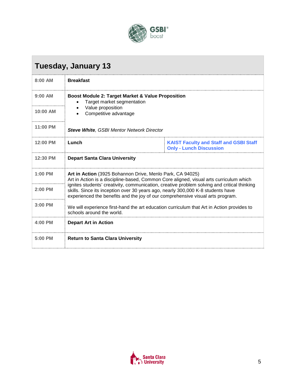

## **Tuesday, January 13**

| $8:00$ AM | <b>Breakfast</b>                                                                                                                                                                                                                                                                                                                                                                                                        |                                                                                 |
|-----------|-------------------------------------------------------------------------------------------------------------------------------------------------------------------------------------------------------------------------------------------------------------------------------------------------------------------------------------------------------------------------------------------------------------------------|---------------------------------------------------------------------------------|
| $9:00$ AM | Boost Module 2: Target Market & Value Proposition<br>Target market segmentation<br>Value proposition<br>Competitive advantage                                                                                                                                                                                                                                                                                           |                                                                                 |
| 10:00 AM  |                                                                                                                                                                                                                                                                                                                                                                                                                         |                                                                                 |
| 11:00 PM  | <b>Steve White, GSBI Mentor Network Director</b>                                                                                                                                                                                                                                                                                                                                                                        |                                                                                 |
| 12:00 PM  | Lunch                                                                                                                                                                                                                                                                                                                                                                                                                   | <b>KAIST Faculty and Staff and GSBI Staff</b><br><b>Only - Lunch Discussion</b> |
| 12:30 PM  | <b>Depart Santa Clara University</b>                                                                                                                                                                                                                                                                                                                                                                                    |                                                                                 |
| $1:00$ PM | Art in Action (3925 Bohannon Drive, Menlo Park, CA 94025)<br>Art in Action is a discipline-based, Common Core aligned, visual arts curriculum which<br>ignites students' creativity, communication, creative problem solving and critical thinking<br>skills. Since its inception over 30 years ago, nearly 300,000 K-8 students have<br>experienced the benefits and the joy of our comprehensive visual arts program. |                                                                                 |
| $2:00$ PM |                                                                                                                                                                                                                                                                                                                                                                                                                         |                                                                                 |
| $3:00$ PM | We will experience first-hand the art education curriculum that Art in Action provides to<br>schools around the world                                                                                                                                                                                                                                                                                                   |                                                                                 |
| 4:00 PM   | <b>Depart Art in Action</b>                                                                                                                                                                                                                                                                                                                                                                                             |                                                                                 |
| 5:00 PM   | <b>Return to Santa Clara University</b>                                                                                                                                                                                                                                                                                                                                                                                 |                                                                                 |

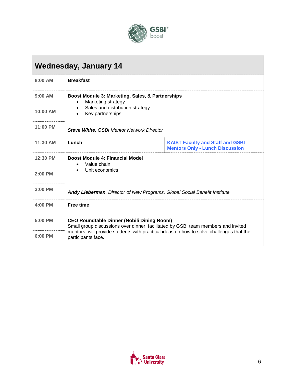

## **Wednesday, January 14**

| 8:00 AM    | <b>Breakfast</b>                                                                                                                                                                                                                                        |                                                                                   |
|------------|---------------------------------------------------------------------------------------------------------------------------------------------------------------------------------------------------------------------------------------------------------|-----------------------------------------------------------------------------------|
| $9:00$ AM  | Boost Module 3: Marketing, Sales, & Partnerships<br>Marketing strategy<br>Sales and distribution strategy<br>Key partnerships                                                                                                                           |                                                                                   |
| $10:00$ AM |                                                                                                                                                                                                                                                         |                                                                                   |
| 11:00 PM   | <b>Steve White, GSBI Mentor Network Director</b>                                                                                                                                                                                                        |                                                                                   |
| $11:30$ AM | Lunch                                                                                                                                                                                                                                                   | <b>KAIST Faculty and Staff and GSBI</b><br><b>Mentors Only - Lunch Discussion</b> |
| 12:30 PM   | <b>Boost Module 4: Financial Model</b><br>Value chain                                                                                                                                                                                                   |                                                                                   |
| $2:00$ PM  | Unit economics                                                                                                                                                                                                                                          |                                                                                   |
| $3:00$ PM  | <b>Andy Lieberman, Director of New Programs, Global Social Benefit Institute</b>                                                                                                                                                                        |                                                                                   |
| $4:00$ PM  | <b>Free time</b>                                                                                                                                                                                                                                        |                                                                                   |
| 5:00 PM    | <b>CEO Roundtable Dinner (Nobili Dining Room)</b><br>Small group discussions over dinner, facilitated by GSBI team members and invited<br>mentors, will provide students with practical ideas on how to solve challenges that the<br>participants face. |                                                                                   |
| 6:00 PM    |                                                                                                                                                                                                                                                         |                                                                                   |

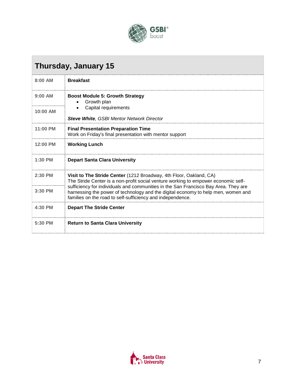

## **Thursday, January 15**

| 8:00 AM    | <b>Breakfast</b>                                                                                                                                                                                                                                                                                                                                                                                   |
|------------|----------------------------------------------------------------------------------------------------------------------------------------------------------------------------------------------------------------------------------------------------------------------------------------------------------------------------------------------------------------------------------------------------|
| $9:00$ AM  | <b>Boost Module 5: Growth Strategy</b><br>Growth plan<br>Capital requirements<br><b>Steve White, GSBI Mentor Network Director</b>                                                                                                                                                                                                                                                                  |
| $10:00$ AM |                                                                                                                                                                                                                                                                                                                                                                                                    |
| $11:00$ PM | <b>Final Presentation Preparation Time</b><br>Work on Friday's final presentation with mentor support                                                                                                                                                                                                                                                                                              |
| 12:00 PM   | <b>Working Lunch</b>                                                                                                                                                                                                                                                                                                                                                                               |
| $1:30$ PM  | <b>Depart Santa Clara University</b>                                                                                                                                                                                                                                                                                                                                                               |
| $2:30$ PM  | Visit to The Stride Center (1212 Broadway, 4th Floor, Oakland, CA)<br>The Stride Center is a non-profit social venture working to empower economic self-<br>sufficiency for individuals and communities in the San Francisco Bay Area. They are<br>harnessing the power of technology and the digital economy to help men, women and<br>families on the road to self-sufficiency and independence. |
| $3:30$ PM  |                                                                                                                                                                                                                                                                                                                                                                                                    |
| 4:30 PM    | <b>Depart The Stride Center</b>                                                                                                                                                                                                                                                                                                                                                                    |
| 5:30 PM    | <b>Return to Santa Clara University</b>                                                                                                                                                                                                                                                                                                                                                            |

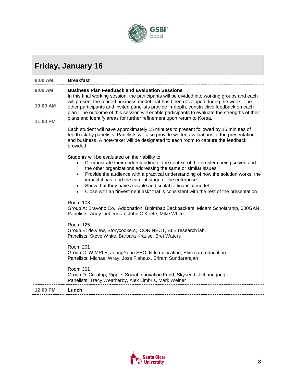

## **Friday, January 16**

| 8:00 AM   | <b>Breakfast</b>                                                                                                                                                                                                                                                                                                                                                                                                                                                                                                                 |  |
|-----------|----------------------------------------------------------------------------------------------------------------------------------------------------------------------------------------------------------------------------------------------------------------------------------------------------------------------------------------------------------------------------------------------------------------------------------------------------------------------------------------------------------------------------------|--|
| $9:00$ AM | <b>Business Plan Feedback and Evaluation Sessions</b><br>In this final working session, the participants will be divided into working groups and each<br>will present the refined business model that has been developed during the week. The<br>other participants and invited panelists provide in-depth, constructive feedback on each<br>plan. The outcome of this session will enable participants to evaluate the strengths of their<br>plans and identify areas for further refinement upon return to Korea.              |  |
| 10:00 AM  |                                                                                                                                                                                                                                                                                                                                                                                                                                                                                                                                  |  |
| 11:00 PM  |                                                                                                                                                                                                                                                                                                                                                                                                                                                                                                                                  |  |
|           | Each student will have approximately 15 minutes to present followed by 15 minutes of<br>feedback by panelists. Panelists will also provide written evaluations of the presentation<br>and business. A note-taker will be designated to each room to capture the feedback<br>provided.                                                                                                                                                                                                                                            |  |
|           | Students will be evaluated on their ability to:<br>Demonstrate their understanding of the context of the problem being solved and<br>$\bullet$<br>the other organizations addressing the same or similar issues<br>Provide the audience with a practical understanding of how the solution works, the<br>$\bullet$<br>impact it has, and the current stage of the enterprise<br>Show that they have a viable and scalable financial model<br>Close with an "investment ask" that is consistent with the rest of the presentation |  |
|           | Room 108<br>Group A: Bravono Co., Addonation, Bibimbap Backpackers, Midam Scholarship, 000GAN<br>Panelists: Andy Lieberman, John O'Keefe, Mike White                                                                                                                                                                                                                                                                                                                                                                             |  |
|           | <b>Room 125</b><br>Group B: de.view, Storycookers, ICON:NECT, BLB research lab.<br>Panelists: Steve White, Barbara Krause, Bret Waters                                                                                                                                                                                                                                                                                                                                                                                           |  |
|           | <b>Room 201</b><br>Group C: WIMPLE, JeongYeon SEO, little unification, Elim care education<br>Panelists: Michael Wray, Jose Flahaux, Sriram Sundararajan                                                                                                                                                                                                                                                                                                                                                                         |  |
|           | <b>Room 301</b><br>Group D: Creatrip, Ripple, Social Innovation Fund, Skyseed, Jichanggong<br>Panelists: Tracy Weatherby, Alex Limbris, Mark Weiner                                                                                                                                                                                                                                                                                                                                                                              |  |
| 12:00 PM  | Lunch                                                                                                                                                                                                                                                                                                                                                                                                                                                                                                                            |  |